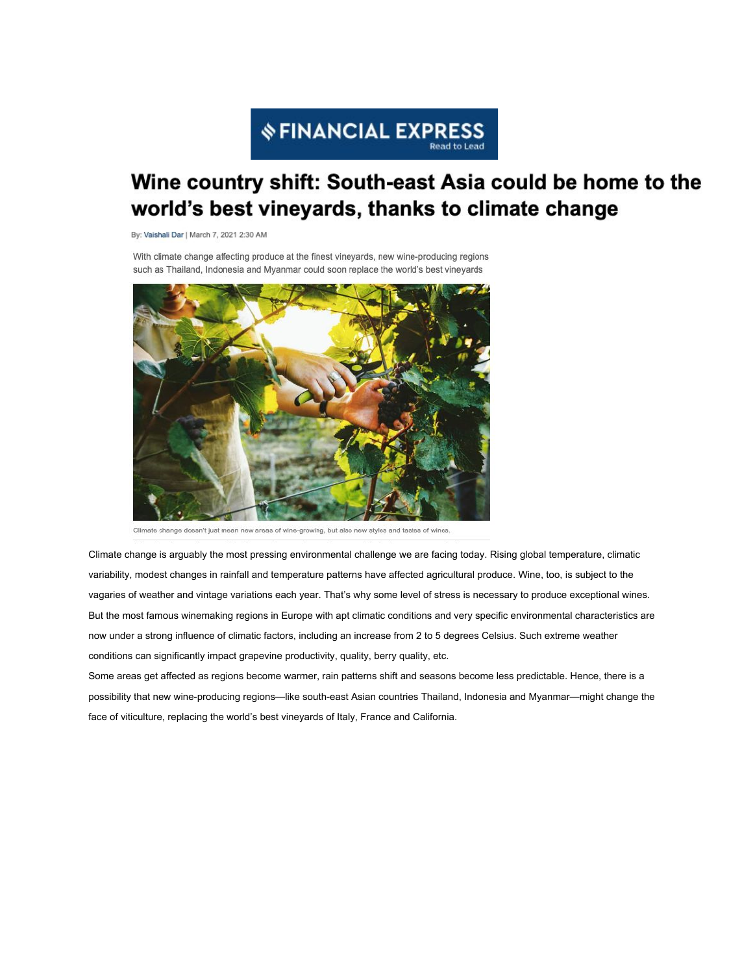## **S FINANCIAL EXPRESS**

## Wine country shift: South-east Asia could be home to the world's best vineyards, thanks to climate change

By: Vaishali Dar | March 7, 2021 2:30 AM

With climate change affecting produce at the finest vineyards, new wine-producing regions such as Thailand, Indonesia and Myanmar could soon replace the world's best vineyards



Climate change doesn't just mean new areas of wine-growing, but also new styles and tastes of wines.

Climate change is arguably the most pressing environmental challenge we are facing today. Rising global temperature, climatic variability, modest changes in rainfall and temperature patterns have affected agricultural produce. Wine, too, is subject to the vagaries of weather and vintage variations each year. That's why some level of stress is necessary to produce exceptional wines. But the most famous winemaking regions in Europe with apt climatic conditions and very specific environmental characteristics are now under a strong influence of climatic factors, including an increase from 2 to 5 degrees Celsius. Such extreme weather conditions can significantly impact grapevine productivity, quality, berry quality, etc.

Some areas get affected as regions become warmer, rain patterns shift and seasons become less predictable. Hence, there is a possibility that new wine-producing regions—like south-east Asian countries Thailand, Indonesia and Myanmar—might change the face of viticulture, replacing the world's best vineyards of Italy, France and California.